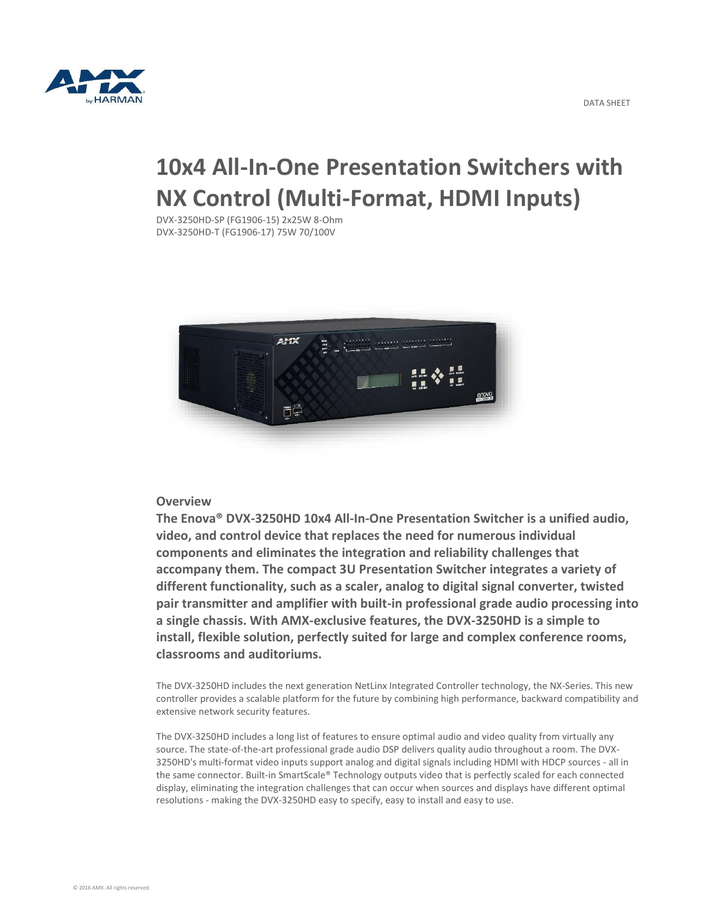

# **10x4 All-In-One Presentation Switchers with NX Control (Multi-Format, HDMI Inputs)**

DVX-3250HD-SP (FG1906-15) 2x25W 8-Ohm DVX-3250HD-T (FG1906-17) 75W 70/100V



### **Overview**

**The Enova® DVX-3250HD 10x4 All-In-One Presentation Switcher is a unified audio, video, and control device that replaces the need for numerous individual components and eliminates the integration and reliability challenges that accompany them. The compact 3U Presentation Switcher integrates a variety of different functionality, such as a scaler, analog to digital signal converter, twisted pair transmitter and amplifier with built-in professional grade audio processing into a single chassis. With AMX-exclusive features, the DVX-3250HD is a simple to install, flexible solution, perfectly suited for large and complex conference rooms, classrooms and auditoriums.**

The DVX-3250HD includes the next generation NetLinx Integrated Controller technology, the NX-Series. This new controller provides a scalable platform for the future by combining high performance, backward compatibility and extensive network security features.

The DVX-3250HD includes a long list of features to ensure optimal audio and video quality from virtually any source. The state-of-the-art professional grade audio DSP delivers quality audio throughout a room. The DVX-3250HD's multi-format video inputs support analog and digital signals including HDMI with HDCP sources - all in the same connector. Built-in SmartScale® Technology outputs video that is perfectly scaled for each connected display, eliminating the integration challenges that can occur when sources and displays have different optimal resolutions - making the DVX-3250HD easy to specify, easy to install and easy to use.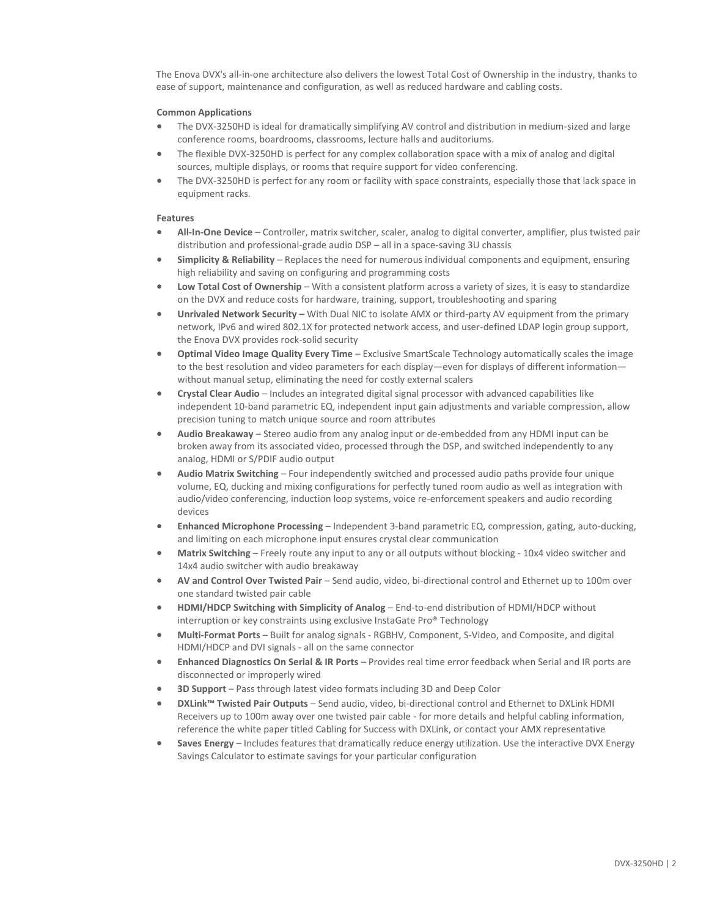The Enova DVX's all-in-one architecture also delivers the lowest Total Cost of Ownership in the industry, thanks to ease of support, maintenance and configuration, as well as reduced hardware and cabling costs.

#### **Common Applications**

- The DVX-3250HD is ideal for dramatically simplifying AV control and distribution in medium-sized and large conference rooms, boardrooms, classrooms, lecture halls and auditoriums.
- The flexible DVX-3250HD is perfect for any complex collaboration space with a mix of analog and digital sources, multiple displays, or rooms that require support for video conferencing.
- The DVX-3250HD is perfect for any room or facility with space constraints, especially those that lack space in equipment racks.

#### **Features**

- **All-In-One Device**  Controller, matrix switcher, scaler, analog to digital converter, amplifier, plus twisted pair distribution and professional-grade audio DSP – all in a space-saving 3U chassis
- **Simplicity & Reliability**  Replaces the need for numerous individual components and equipment, ensuring high reliability and saving on configuring and programming costs
- **Low Total Cost of Ownership**  With a consistent platform across a variety of sizes, it is easy to standardize on the DVX and reduce costs for hardware, training, support, troubleshooting and sparing
- **Unrivaled Network Security –** With Dual NIC to isolate AMX or third-party AV equipment from the primary network, IPv6 and wired 802.1X for protected network access, and user-defined LDAP login group support, the Enova DVX provides rock-solid security
- **Optimal Video Image Quality Every Time** Exclusive SmartScale Technology automatically scales the image to the best resolution and video parameters for each display—even for displays of different informationwithout manual setup, eliminating the need for costly external scalers
- **Crystal Clear Audio**  Includes an integrated digital signal processor with advanced capabilities like independent 10-band parametric EQ, independent input gain adjustments and variable compression, allow precision tuning to match unique source and room attributes
- **Audio Breakaway**  Stereo audio from any analog input or de-embedded from any HDMI input can be broken away from its associated video, processed through the DSP, and switched independently to any analog, HDMI or S/PDIF audio output
- **Audio Matrix Switching**  Four independently switched and processed audio paths provide four unique volume, EQ, ducking and mixing configurations for perfectly tuned room audio as well as integration with audio/video conferencing, induction loop systems, voice re-enforcement speakers and audio recording devices
- **Enhanced Microphone Processing**  Independent 3-band parametric EQ, compression, gating, auto-ducking, and limiting on each microphone input ensures crystal clear communication
- **Matrix Switching**  Freely route any input to any or all outputs without blocking 10x4 video switcher and 14x4 audio switcher with audio breakaway
- **AV and Control Over Twisted Pair**  Send audio, video, bi-directional control and Ethernet up to 100m over one standard twisted pair cable
- **HDMI/HDCP Switching with Simplicity of Analog**  End-to-end distribution of HDMI/HDCP without interruption or key constraints using exclusive InstaGate Pro® Technology
- **Multi-Format Ports**  Built for analog signals RGBHV, Component, S-Video, and Composite, and digital HDMI/HDCP and DVI signals - all on the same connector
- **Enhanced Diagnostics On Serial & IR Ports** Provides real time error feedback when Serial and IR ports are disconnected or improperly wired
- **3D Support**  Pass through latest video formats including 3D and Deep Color
- **DXLink™ Twisted Pair Outputs**  Send audio, video, bi-directional control and Ethernet to DXLink HDMI Receivers up to 100m away over one twisted pair cable - for more details and helpful cabling information, reference the white paper titled Cabling for Success with DXLink, or contact your AMX representative
- **Saves Energy**  Includes features that dramatically reduce energy utilization. Use the interactive DVX Energy Savings Calculator to estimate savings for your particular configuration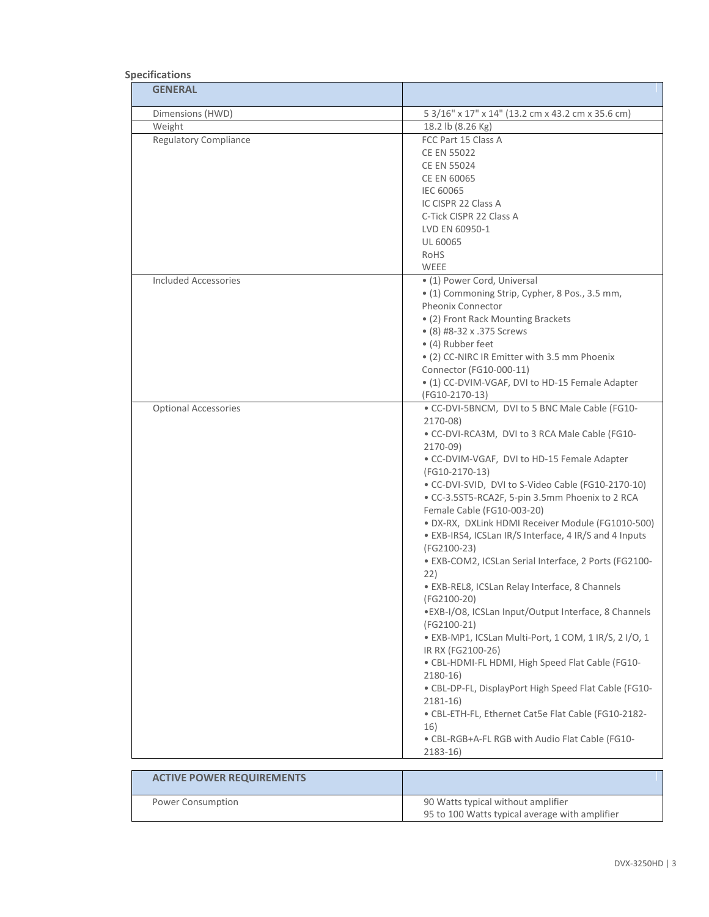## **Specifications**

| <b>GENERAL</b>                   |                                                                                                                                                                                                                                                                                                                                                                                                                                                                                                                                                                                                                                                                                                                                                                                                                                                                                                                                                                                                                             |
|----------------------------------|-----------------------------------------------------------------------------------------------------------------------------------------------------------------------------------------------------------------------------------------------------------------------------------------------------------------------------------------------------------------------------------------------------------------------------------------------------------------------------------------------------------------------------------------------------------------------------------------------------------------------------------------------------------------------------------------------------------------------------------------------------------------------------------------------------------------------------------------------------------------------------------------------------------------------------------------------------------------------------------------------------------------------------|
| Dimensions (HWD)                 | 5 3/16" x 17" x 14" (13.2 cm x 43.2 cm x 35.6 cm)                                                                                                                                                                                                                                                                                                                                                                                                                                                                                                                                                                                                                                                                                                                                                                                                                                                                                                                                                                           |
| Weight                           | 18.2 lb (8.26 Kg)                                                                                                                                                                                                                                                                                                                                                                                                                                                                                                                                                                                                                                                                                                                                                                                                                                                                                                                                                                                                           |
| <b>Regulatory Compliance</b>     | FCC Part 15 Class A<br><b>CE EN 55022</b><br><b>CE EN 55024</b><br><b>CE EN 60065</b><br><b>IEC 60065</b><br>IC CISPR 22 Class A<br>C-Tick CISPR 22 Class A                                                                                                                                                                                                                                                                                                                                                                                                                                                                                                                                                                                                                                                                                                                                                                                                                                                                 |
|                                  | LVD EN 60950-1<br>UL 60065<br>RoHS<br>WEEE                                                                                                                                                                                                                                                                                                                                                                                                                                                                                                                                                                                                                                                                                                                                                                                                                                                                                                                                                                                  |
| <b>Included Accessories</b>      | • (1) Power Cord, Universal<br>· (1) Commoning Strip, Cypher, 8 Pos., 3.5 mm,<br><b>Pheonix Connector</b><br>• (2) Front Rack Mounting Brackets<br>• (8) #8-32 x .375 Screws<br>• (4) Rubber feet<br>• (2) CC-NIRC IR Emitter with 3.5 mm Phoenix<br>Connector (FG10-000-11)<br>• (1) CC-DVIM-VGAF, DVI to HD-15 Female Adapter<br>(FG10-2170-13)                                                                                                                                                                                                                                                                                                                                                                                                                                                                                                                                                                                                                                                                           |
| <b>Optional Accessories</b>      | . CC-DVI-5BNCM, DVI to 5 BNC Male Cable (FG10-<br>2170-08)<br>. CC-DVI-RCA3M, DVI to 3 RCA Male Cable (FG10-<br>2170-09)<br>· CC-DVIM-VGAF, DVI to HD-15 Female Adapter<br>(FG10-2170-13)<br>• CC-DVI-SVID, DVI to S-Video Cable (FG10-2170-10)<br>· CC-3.5ST5-RCA2F, 5-pin 3.5mm Phoenix to 2 RCA<br>Female Cable (FG10-003-20)<br>· DX-RX, DXLink HDMI Receiver Module (FG1010-500)<br>• EXB-IRS4, ICSLan IR/S Interface, 4 IR/S and 4 Inputs<br>(FG2100-23)<br>· EXB-COM2, ICSLan Serial Interface, 2 Ports (FG2100-<br>22)<br>· EXB-REL8, ICSLan Relay Interface, 8 Channels<br>(FG2100-20)<br>· EXB-I/O8, ICSLan Input/Output Interface, 8 Channels<br>(FG2100-21)<br>· EXB-MP1, ICSLan Multi-Port, 1 COM, 1 IR/S, 2 I/O, 1<br>IR RX (FG2100-26)<br>· CBL-HDMI-FL HDMI, High Speed Flat Cable (FG10-<br>$2180-16$<br>· CBL-DP-FL, DisplayPort High Speed Flat Cable (FG10-<br>$2181 - 16$<br>• CBL-ETH-FL, Ethernet Cat5e Flat Cable (FG10-2182-<br>16)<br>• CBL-RGB+A-FL RGB with Audio Flat Cable (FG10-<br>2183-16) |
| <b>ACTIVE POWER REQUIREMENTS</b> |                                                                                                                                                                                                                                                                                                                                                                                                                                                                                                                                                                                                                                                                                                                                                                                                                                                                                                                                                                                                                             |
|                                  |                                                                                                                                                                                                                                                                                                                                                                                                                                                                                                                                                                                                                                                                                                                                                                                                                                                                                                                                                                                                                             |

| Power Consumption | 90 Watts typical without amplifier             |
|-------------------|------------------------------------------------|
|                   | 95 to 100 Watts typical average with amplifier |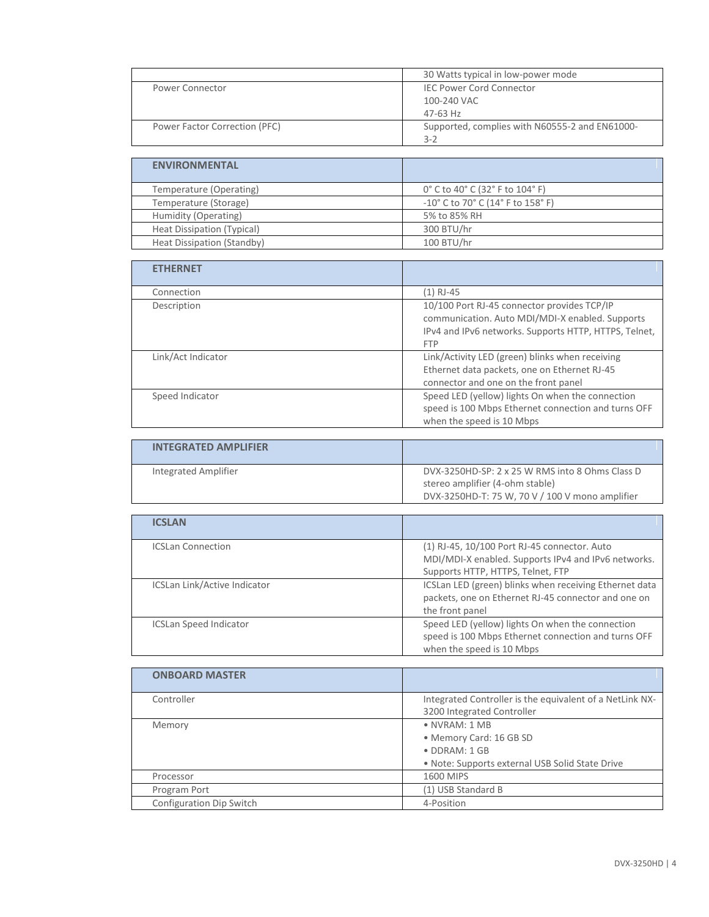|                               | 30 Watts typical in low-power mode                        |
|-------------------------------|-----------------------------------------------------------|
| Power Connector               | <b>IEC Power Cord Connector</b>                           |
|                               | 100-240 VAC                                               |
|                               | 47-63 Hz                                                  |
| Power Factor Correction (PFC) | Supported, complies with N60555-2 and EN61000-<br>$3 - 2$ |

| <b>ENVIRONMENTAL</b>       |                                   |
|----------------------------|-----------------------------------|
| Temperature (Operating)    | 0° C to 40° C (32° F to 104° F)   |
| Temperature (Storage)      | -10° C to 70° C (14° F to 158° F) |
| Humidity (Operating)       | 5% to 85% RH                      |
| Heat Dissipation (Typical) | 300 BTU/hr                        |
| Heat Dissipation (Standby) | 100 BTU/hr                        |

| <b>ETHERNET</b>    |                                                                                                                                                                       |
|--------------------|-----------------------------------------------------------------------------------------------------------------------------------------------------------------------|
| Connection         | $(1)$ RJ-45                                                                                                                                                           |
| Description        | 10/100 Port RJ-45 connector provides TCP/IP<br>communication. Auto MDI/MDI-X enabled. Supports<br>IPv4 and IPv6 networks. Supports HTTP, HTTPS, Telnet,<br><b>FTP</b> |
| Link/Act Indicator | Link/Activity LED (green) blinks when receiving<br>Ethernet data packets, one on Ethernet RJ-45<br>connector and one on the front panel                               |
| Speed Indicator    | Speed LED (yellow) lights On when the connection<br>speed is 100 Mbps Ethernet connection and turns OFF<br>when the speed is 10 Mbps                                  |
|                    |                                                                                                                                                                       |

| <b>INTEGRATED AMPLIFIER</b> |                                                                                    |
|-----------------------------|------------------------------------------------------------------------------------|
| Integrated Amplifier        | DVX-3250HD-SP: 2 x 25 W RMS into 8 Ohms Class D<br>stereo amplifier (4-ohm stable) |
|                             | DVX-3250HD-T: 75 W, 70 V / 100 V mono amplifier                                    |

| <b>ICSLAN</b>                       |                                                                                                                                          |
|-------------------------------------|------------------------------------------------------------------------------------------------------------------------------------------|
| <b>ICSLan Connection</b>            | (1) RJ-45, 10/100 Port RJ-45 connector. Auto<br>MDI/MDI-X enabled. Supports IPv4 and IPv6 networks.<br>Supports HTTP, HTTPS, Telnet, FTP |
| <b>ICSLan Link/Active Indicator</b> | ICSLan LED (green) blinks when receiving Ethernet data<br>packets, one on Ethernet RJ-45 connector and one on<br>the front panel         |
| <b>ICSLan Speed Indicator</b>       | Speed LED (yellow) lights On when the connection<br>speed is 100 Mbps Ethernet connection and turns OFF<br>when the speed is 10 Mbps     |

| <b>ONBOARD MASTER</b>    |                                                                                                                              |
|--------------------------|------------------------------------------------------------------------------------------------------------------------------|
| Controller               | Integrated Controller is the equivalent of a NetLink NX-<br>3200 Integrated Controller                                       |
| Memory                   | $\bullet$ NVRAM: 1 MB<br>· Memory Card: 16 GB SD<br>$\bullet$ DDRAM: 1 GB<br>. Note: Supports external USB Solid State Drive |
| Processor                | 1600 MIPS                                                                                                                    |
| Program Port             | (1) USB Standard B                                                                                                           |
| Configuration Dip Switch | 4-Position                                                                                                                   |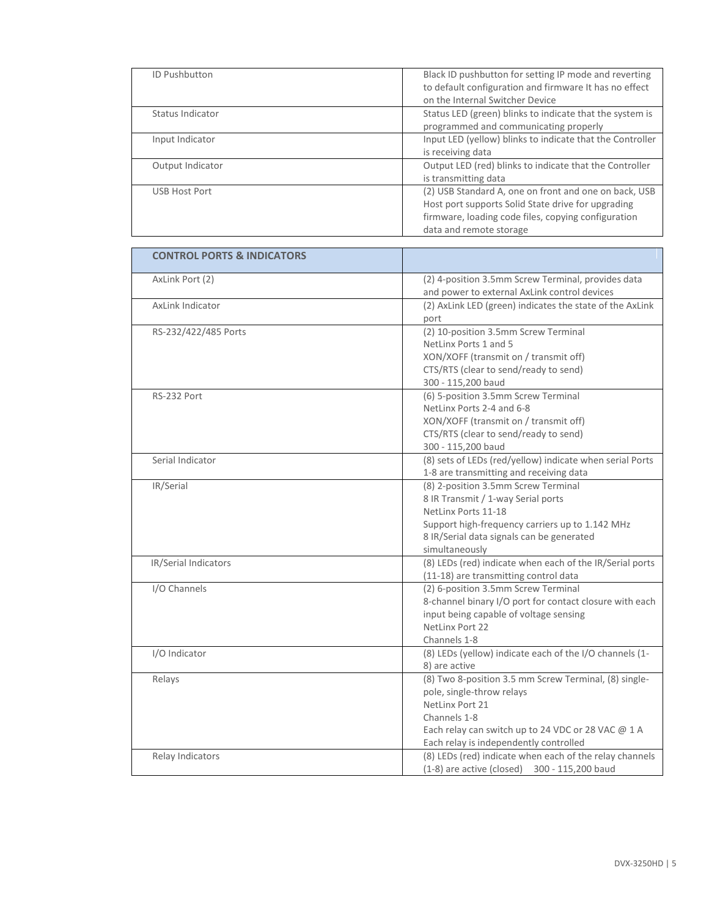| <b>ID Pushbutton</b> | Black ID pushbutton for setting IP mode and reverting<br>to default configuration and firmware It has no effect |
|----------------------|-----------------------------------------------------------------------------------------------------------------|
|                      | on the Internal Switcher Device                                                                                 |
| Status Indicator     | Status LED (green) blinks to indicate that the system is                                                        |
|                      | programmed and communicating properly                                                                           |
| Input Indicator      | Input LED (yellow) blinks to indicate that the Controller                                                       |
|                      | is receiving data                                                                                               |
| Output Indicator     | Output LED (red) blinks to indicate that the Controller                                                         |
|                      | is transmitting data                                                                                            |
| <b>USB Host Port</b> | (2) USB Standard A, one on front and one on back, USB                                                           |
|                      | Host port supports Solid State drive for upgrading                                                              |
|                      | firmware, loading code files, copying configuration                                                             |
|                      | data and remote storage                                                                                         |

| <b>CONTROL PORTS &amp; INDICATORS</b> |                                                                        |
|---------------------------------------|------------------------------------------------------------------------|
| AxLink Port (2)                       | (2) 4-position 3.5mm Screw Terminal, provides data                     |
|                                       | and power to external AxLink control devices                           |
| AxLink Indicator                      | (2) AxLink LED (green) indicates the state of the AxLink               |
|                                       | port                                                                   |
| RS-232/422/485 Ports                  | (2) 10-position 3.5mm Screw Terminal                                   |
|                                       | NetLinx Ports 1 and 5                                                  |
|                                       | XON/XOFF (transmit on / transmit off)                                  |
|                                       | CTS/RTS (clear to send/ready to send)                                  |
|                                       | 300 - 115,200 baud                                                     |
| RS-232 Port                           | (6) 5-position 3.5mm Screw Terminal                                    |
|                                       | NetLinx Ports 2-4 and 6-8                                              |
|                                       | XON/XOFF (transmit on / transmit off)                                  |
|                                       | CTS/RTS (clear to send/ready to send)                                  |
|                                       | 300 - 115,200 baud                                                     |
| Serial Indicator                      | (8) sets of LEDs (red/yellow) indicate when serial Ports               |
|                                       | 1-8 are transmitting and receiving data                                |
| IR/Serial                             | (8) 2-position 3.5mm Screw Terminal                                    |
|                                       | 8 IR Transmit / 1-way Serial ports                                     |
|                                       | NetLinx Ports 11-18<br>Support high-frequency carriers up to 1.142 MHz |
|                                       | 8 IR/Serial data signals can be generated                              |
|                                       | simultaneously                                                         |
| IR/Serial Indicators                  | (8) LEDs (red) indicate when each of the IR/Serial ports               |
|                                       | (11-18) are transmitting control data                                  |
| I/O Channels                          | (2) 6-position 3.5mm Screw Terminal                                    |
|                                       | 8-channel binary I/O port for contact closure with each                |
|                                       | input being capable of voltage sensing                                 |
|                                       | NetLinx Port 22                                                        |
|                                       | Channels 1-8                                                           |
| I/O Indicator                         | (8) LEDs (yellow) indicate each of the I/O channels (1-                |
|                                       | 8) are active                                                          |
| Relays                                | (8) Two 8-position 3.5 mm Screw Terminal, (8) single-                  |
|                                       | pole, single-throw relays                                              |
|                                       | NetLinx Port 21                                                        |
|                                       | Channels 1-8                                                           |
|                                       | Each relay can switch up to 24 VDC or 28 VAC @ 1 A                     |
|                                       | Each relay is independently controlled                                 |
| Relay Indicators                      | (8) LEDs (red) indicate when each of the relay channels                |
|                                       | $(1-8)$ are active (closed) 300 - 115,200 baud                         |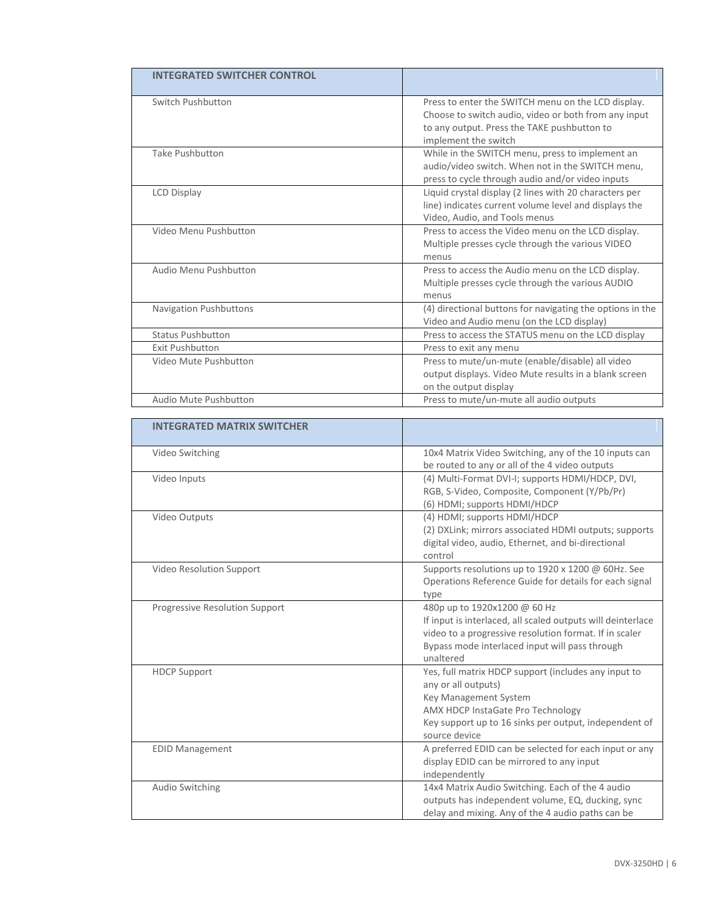| <b>INTEGRATED SWITCHER CONTROL</b> |                                                                                                                                                                                   |
|------------------------------------|-----------------------------------------------------------------------------------------------------------------------------------------------------------------------------------|
| Switch Pushbutton                  | Press to enter the SWITCH menu on the LCD display.<br>Choose to switch audio, video or both from any input<br>to any output. Press the TAKE pushbutton to<br>implement the switch |
| <b>Take Pushbutton</b>             | While in the SWITCH menu, press to implement an<br>audio/video switch. When not in the SWITCH menu,<br>press to cycle through audio and/or video inputs                           |
| <b>LCD Display</b>                 | Liquid crystal display (2 lines with 20 characters per<br>line) indicates current volume level and displays the<br>Video, Audio, and Tools menus                                  |
| Video Menu Pushbutton              | Press to access the Video menu on the LCD display.<br>Multiple presses cycle through the various VIDEO<br>menus                                                                   |
| Audio Menu Pushbutton              | Press to access the Audio menu on the LCD display.<br>Multiple presses cycle through the various AUDIO<br>menus                                                                   |
| <b>Navigation Pushbuttons</b>      | (4) directional buttons for navigating the options in the<br>Video and Audio menu (on the LCD display)                                                                            |
| <b>Status Pushbutton</b>           | Press to access the STATUS menu on the LCD display                                                                                                                                |
| <b>Exit Pushbutton</b>             | Press to exit any menu                                                                                                                                                            |
| Video Mute Pushbutton              | Press to mute/un-mute (enable/disable) all video<br>output displays. Video Mute results in a blank screen<br>on the output display                                                |
| Audio Mute Pushbutton              | Press to mute/un-mute all audio outputs                                                                                                                                           |

| <b>INTEGRATED MATRIX SWITCHER</b> |                                                                                                       |
|-----------------------------------|-------------------------------------------------------------------------------------------------------|
| Video Switching                   | 10x4 Matrix Video Switching, any of the 10 inputs can                                                 |
|                                   | be routed to any or all of the 4 video outputs                                                        |
| Video Inputs                      | (4) Multi-Format DVI-I; supports HDMI/HDCP, DVI,                                                      |
|                                   | RGB, S-Video, Composite, Component (Y/Pb/Pr)                                                          |
|                                   | (6) HDMI; supports HDMI/HDCP                                                                          |
| Video Outputs                     | (4) HDMI; supports HDMI/HDCP                                                                          |
|                                   | (2) DXLink; mirrors associated HDMI outputs; supports                                                 |
|                                   | digital video, audio, Ethernet, and bi-directional                                                    |
|                                   | control                                                                                               |
| Video Resolution Support          | Supports resolutions up to 1920 x 1200 @ 60Hz. See                                                    |
|                                   | Operations Reference Guide for details for each signal                                                |
|                                   | type                                                                                                  |
| Progressive Resolution Support    | 480p up to 1920x1200 @ 60 Hz                                                                          |
|                                   | If input is interlaced, all scaled outputs will deinterlace                                           |
|                                   | video to a progressive resolution format. If in scaler                                                |
|                                   | Bypass mode interlaced input will pass through                                                        |
|                                   | unaltered                                                                                             |
| <b>HDCP Support</b>               | Yes, full matrix HDCP support (includes any input to                                                  |
|                                   | any or all outputs)                                                                                   |
|                                   | Key Management System                                                                                 |
|                                   | AMX HDCP InstaGate Pro Technology                                                                     |
|                                   | Key support up to 16 sinks per output, independent of<br>source device                                |
|                                   | A preferred EDID can be selected for each input or any                                                |
| <b>EDID Management</b>            |                                                                                                       |
|                                   | display EDID can be mirrored to any input                                                             |
|                                   | independently                                                                                         |
| Audio Switching                   | 14x4 Matrix Audio Switching. Each of the 4 audio<br>outputs has independent volume, EQ, ducking, sync |
|                                   | delay and mixing. Any of the 4 audio paths can be                                                     |
|                                   |                                                                                                       |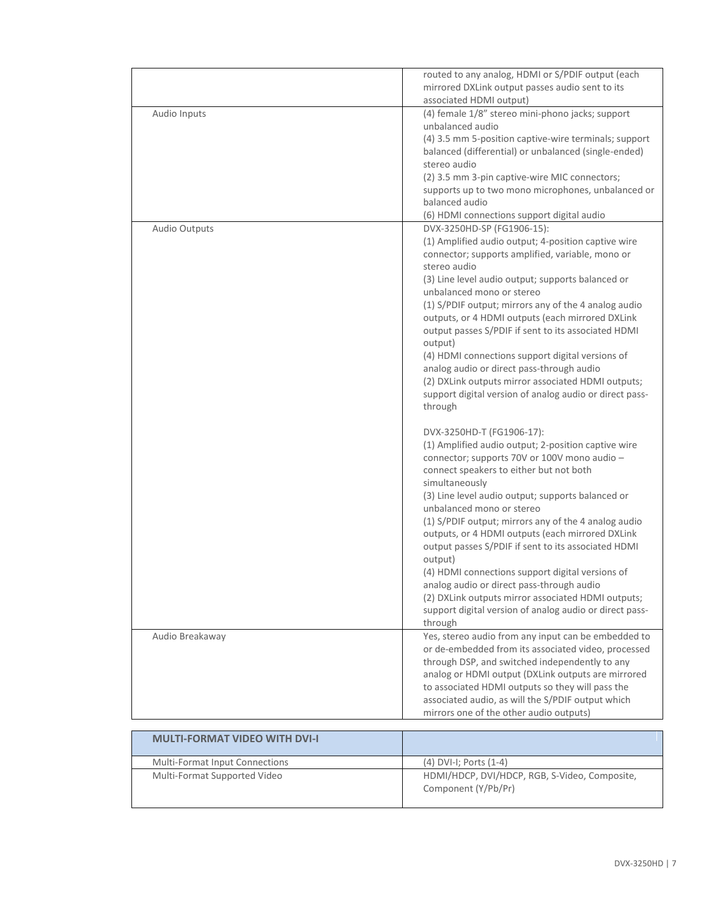|                                      | routed to any analog, HDMI or S/PDIF output (each<br>mirrored DXLink output passes audio sent to its<br>associated HDMI output) |
|--------------------------------------|---------------------------------------------------------------------------------------------------------------------------------|
| Audio Inputs                         | (4) female 1/8" stereo mini-phono jacks; support                                                                                |
|                                      | unbalanced audio                                                                                                                |
|                                      | (4) 3.5 mm 5-position captive-wire terminals; support                                                                           |
|                                      | balanced (differential) or unbalanced (single-ended)                                                                            |
|                                      | stereo audio                                                                                                                    |
|                                      | (2) 3.5 mm 3-pin captive-wire MIC connectors;                                                                                   |
|                                      | supports up to two mono microphones, unbalanced or                                                                              |
|                                      | balanced audio                                                                                                                  |
|                                      | (6) HDMI connections support digital audio                                                                                      |
| Audio Outputs                        | DVX-3250HD-SP (FG1906-15):                                                                                                      |
|                                      | (1) Amplified audio output; 4-position captive wire                                                                             |
|                                      | connector; supports amplified, variable, mono or                                                                                |
|                                      | stereo audio                                                                                                                    |
|                                      | (3) Line level audio output; supports balanced or                                                                               |
|                                      | unbalanced mono or stereo                                                                                                       |
|                                      | (1) S/PDIF output; mirrors any of the 4 analog audio                                                                            |
|                                      | outputs, or 4 HDMI outputs (each mirrored DXLink                                                                                |
|                                      | output passes S/PDIF if sent to its associated HDMI                                                                             |
|                                      | output)                                                                                                                         |
|                                      | (4) HDMI connections support digital versions of                                                                                |
|                                      | analog audio or direct pass-through audio                                                                                       |
|                                      | (2) DXLink outputs mirror associated HDMI outputs;                                                                              |
|                                      | support digital version of analog audio or direct pass-                                                                         |
|                                      | through                                                                                                                         |
|                                      | DVX-3250HD-T (FG1906-17):                                                                                                       |
|                                      | (1) Amplified audio output; 2-position captive wire                                                                             |
|                                      | connector; supports 70V or 100V mono audio -                                                                                    |
|                                      | connect speakers to either but not both                                                                                         |
|                                      | simultaneously                                                                                                                  |
|                                      | (3) Line level audio output; supports balanced or                                                                               |
|                                      | unbalanced mono or stereo                                                                                                       |
|                                      | (1) S/PDIF output; mirrors any of the 4 analog audio                                                                            |
|                                      | outputs, or 4 HDMI outputs (each mirrored DXLink                                                                                |
|                                      | output passes S/PDIF if sent to its associated HDMI                                                                             |
|                                      | output)                                                                                                                         |
|                                      | (4) HDMI connections support digital versions of                                                                                |
|                                      | analog audio or direct pass-through audio                                                                                       |
|                                      | (2) DXLink outputs mirror associated HDMI outputs;                                                                              |
|                                      | support digital version of analog audio or direct pass-                                                                         |
|                                      | through                                                                                                                         |
| Audio Breakaway                      | Yes, stereo audio from any input can be embedded to                                                                             |
|                                      | or de-embedded from its associated video, processed                                                                             |
|                                      | through DSP, and switched independently to any                                                                                  |
|                                      | analog or HDMI output (DXLink outputs are mirrored                                                                              |
|                                      | to associated HDMI outputs so they will pass the                                                                                |
|                                      | associated audio, as will the S/PDIF output which                                                                               |
|                                      | mirrors one of the other audio outputs)                                                                                         |
| <b>MULTI-FORMAT VIDEO WITH DVI-I</b> |                                                                                                                                 |
|                                      |                                                                                                                                 |
| Multi-Format Input Connections       | $(4)$ DVI-I; Ports $(1-4)$                                                                                                      |
| Multi-Format Supported Video         | HDMI/HDCP, DVI/HDCP, RGB, S-Video, Composite,                                                                                   |
|                                      | Component (Y/Pb/Pr)                                                                                                             |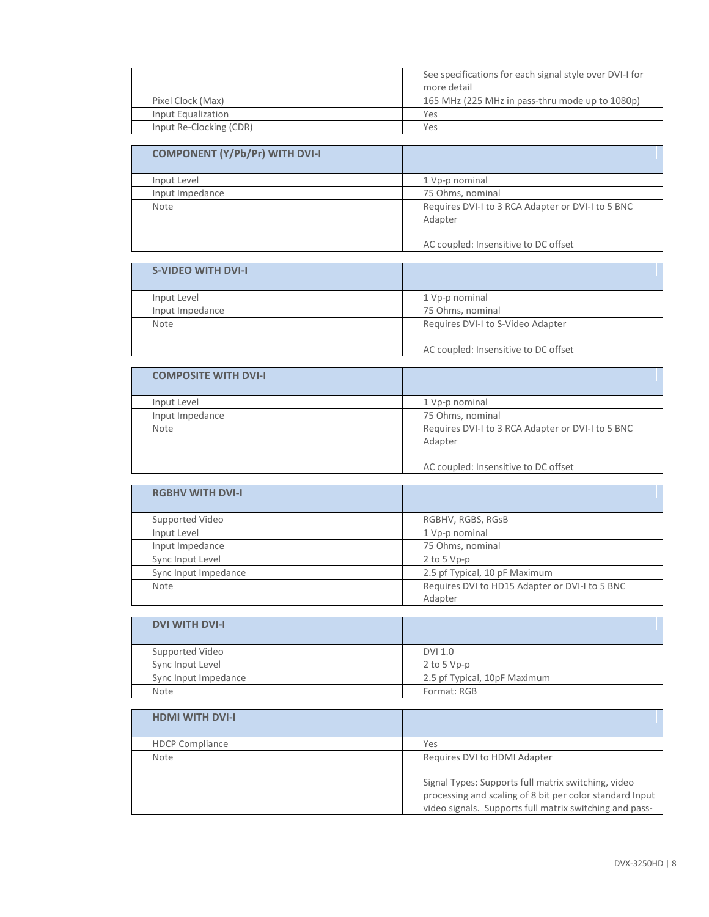|                         | See specifications for each signal style over DVI-I for<br>more detail |
|-------------------------|------------------------------------------------------------------------|
| Pixel Clock (Max)       | 165 MHz (225 MHz in pass-thru mode up to 1080p)                        |
| Input Equalization      | Yes                                                                    |
| Input Re-Clocking (CDR) | Yes                                                                    |

| <b>COMPONENT (Y/Pb/Pr) WITH DVI-I</b> |                                                              |
|---------------------------------------|--------------------------------------------------------------|
| Input Level                           | 1 Vp-p nominal                                               |
| Input Impedance                       | 75 Ohms, nominal                                             |
| Note                                  | Requires DVI-I to 3 RCA Adapter or DVI-I to 5 BNC<br>Adapter |
|                                       | AC coupled: Insensitive to DC offset                         |

| <b>S-VIDEO WITH DVI-I</b> |                                      |
|---------------------------|--------------------------------------|
|                           |                                      |
|                           |                                      |
| Input Level               | 1 Vp-p nominal                       |
| Input Impedance           | 75 Ohms, nominal                     |
| <b>Note</b>               | Requires DVI-I to S-Video Adapter    |
|                           |                                      |
|                           | AC coupled: Insensitive to DC offset |

| <b>COMPOSITE WITH DVI-I</b> |                                                   |
|-----------------------------|---------------------------------------------------|
| Input Level                 | 1 Vp-p nominal                                    |
| Input Impedance             | 75 Ohms, nominal                                  |
| Note                        | Requires DVI-I to 3 RCA Adapter or DVI-I to 5 BNC |
|                             | Adapter                                           |
|                             |                                                   |
|                             | AC coupled: Insensitive to DC offset              |

| <b>RGBHV WITH DVI-I</b> |                                                           |
|-------------------------|-----------------------------------------------------------|
| Supported Video         | RGBHV, RGBS, RGsB                                         |
| Input Level             | 1 Vp-p nominal                                            |
| Input Impedance         | 75 Ohms, nominal                                          |
| Sync Input Level        | $2$ to 5 Vp-p                                             |
| Sync Input Impedance    | 2.5 pf Typical, 10 pF Maximum                             |
| Note                    | Requires DVI to HD15 Adapter or DVI-I to 5 BNC<br>Adapter |

| <b>DVI WITH DVI-I</b> |                              |
|-----------------------|------------------------------|
| Supported Video       | DVI 1.0                      |
| Sync Input Level      | $2$ to 5 Vp-p                |
| Sync Input Impedance  | 2.5 pf Typical, 10pF Maximum |
| <b>Note</b>           | Format: RGB                  |

| <b>HDMI WITH DVI-I</b> |                                                                                                                                                                            |
|------------------------|----------------------------------------------------------------------------------------------------------------------------------------------------------------------------|
| <b>HDCP Compliance</b> | Yes                                                                                                                                                                        |
| Note                   | Requires DVI to HDMI Adapter                                                                                                                                               |
|                        | Signal Types: Supports full matrix switching, video<br>processing and scaling of 8 bit per color standard Input<br>video signals. Supports full matrix switching and pass- |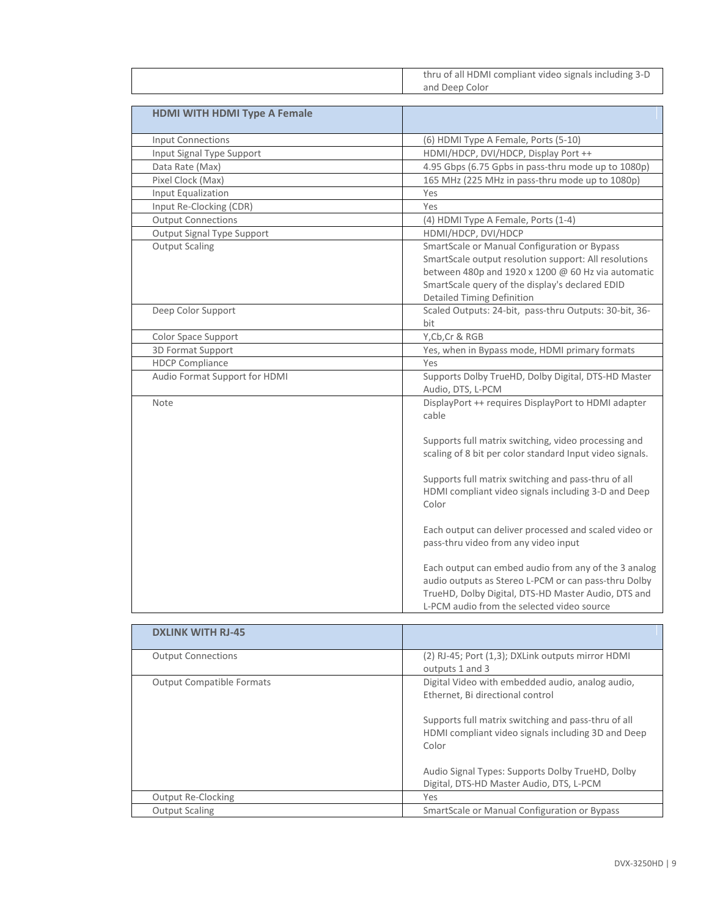|                                     | thru of all HDMI compliant video signals including 3-D                                                                                                                                                                                              |
|-------------------------------------|-----------------------------------------------------------------------------------------------------------------------------------------------------------------------------------------------------------------------------------------------------|
|                                     | and Deep Color                                                                                                                                                                                                                                      |
|                                     |                                                                                                                                                                                                                                                     |
| <b>HDMI WITH HDMI Type A Female</b> |                                                                                                                                                                                                                                                     |
| <b>Input Connections</b>            | (6) HDMI Type A Female, Ports (5-10)                                                                                                                                                                                                                |
| Input Signal Type Support           | HDMI/HDCP, DVI/HDCP, Display Port ++                                                                                                                                                                                                                |
| Data Rate (Max)                     | 4.95 Gbps (6.75 Gpbs in pass-thru mode up to 1080p)                                                                                                                                                                                                 |
| Pixel Clock (Max)                   | 165 MHz (225 MHz in pass-thru mode up to 1080p)                                                                                                                                                                                                     |
| Input Equalization                  | Yes                                                                                                                                                                                                                                                 |
| Input Re-Clocking (CDR)             | Yes                                                                                                                                                                                                                                                 |
| <b>Output Connections</b>           | (4) HDMI Type A Female, Ports (1-4)                                                                                                                                                                                                                 |
| Output Signal Type Support          | HDMI/HDCP, DVI/HDCP                                                                                                                                                                                                                                 |
| <b>Output Scaling</b>               | SmartScale or Manual Configuration or Bypass<br>SmartScale output resolution support: All resolutions<br>between 480p and 1920 x 1200 @ 60 Hz via automatic<br>SmartScale query of the display's declared EDID<br><b>Detailed Timing Definition</b> |
| Deep Color Support                  | Scaled Outputs: 24-bit, pass-thru Outputs: 30-bit, 36-<br>bit                                                                                                                                                                                       |
| Color Space Support                 | Y, Cb, Cr & RGB                                                                                                                                                                                                                                     |
| 3D Format Support                   | Yes, when in Bypass mode, HDMI primary formats                                                                                                                                                                                                      |
| <b>HDCP Compliance</b>              | Yes                                                                                                                                                                                                                                                 |
| Audio Format Support for HDMI       | Supports Dolby TrueHD, Dolby Digital, DTS-HD Master<br>Audio, DTS, L-PCM                                                                                                                                                                            |
| Note                                | DisplayPort ++ requires DisplayPort to HDMI adapter<br>cable                                                                                                                                                                                        |
|                                     | Supports full matrix switching, video processing and<br>scaling of 8 bit per color standard Input video signals.                                                                                                                                    |
|                                     | Supports full matrix switching and pass-thru of all<br>HDMI compliant video signals including 3-D and Deep<br>Color                                                                                                                                 |
|                                     | Each output can deliver processed and scaled video or<br>pass-thru video from any video input                                                                                                                                                       |
|                                     | Each output can embed audio from any of the 3 analog<br>audio outputs as Stereo L-PCM or can pass-thru Dolby<br>TrueHD, Dolby Digital, DTS-HD Master Audio, DTS and<br>L-PCM audio from the selected video source                                   |

| <b>DXLINK WITH RJ-45</b>         |                                                                                                                                                                                                                                                                                                            |
|----------------------------------|------------------------------------------------------------------------------------------------------------------------------------------------------------------------------------------------------------------------------------------------------------------------------------------------------------|
| <b>Output Connections</b>        | (2) RJ-45; Port (1,3); DXLink outputs mirror HDMI<br>outputs 1 and 3                                                                                                                                                                                                                                       |
| <b>Output Compatible Formats</b> | Digital Video with embedded audio, analog audio,<br>Ethernet, Bi directional control<br>Supports full matrix switching and pass-thru of all<br>HDMI compliant video signals including 3D and Deep<br>Color<br>Audio Signal Types: Supports Dolby TrueHD, Dolby<br>Digital, DTS-HD Master Audio, DTS, L-PCM |
| <b>Output Re-Clocking</b>        | Yes                                                                                                                                                                                                                                                                                                        |
| <b>Output Scaling</b>            | SmartScale or Manual Configuration or Bypass                                                                                                                                                                                                                                                               |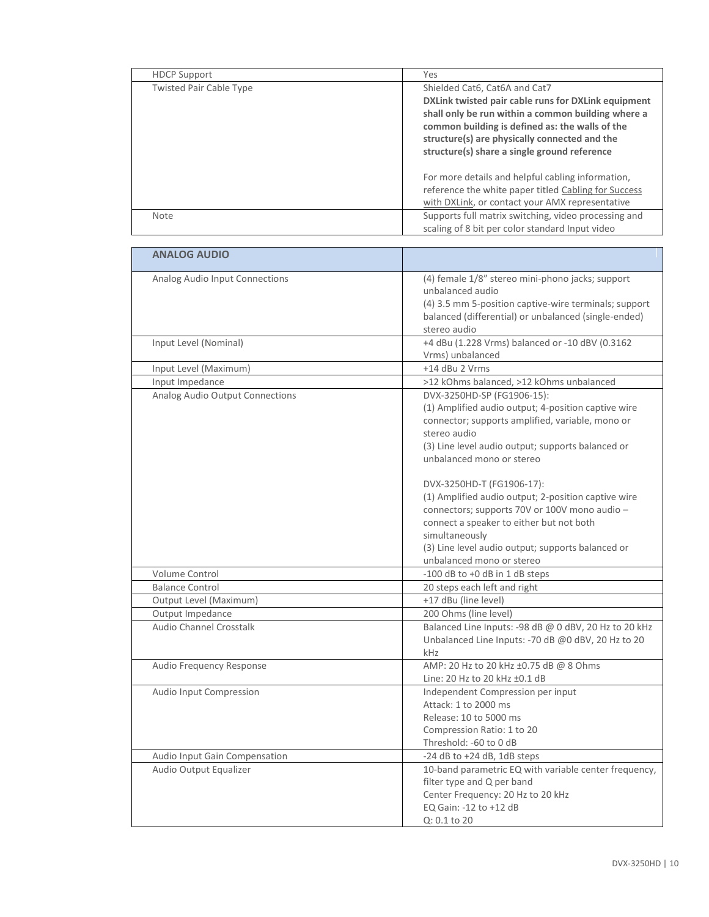| <b>HDCP Support</b>            | Yes                                                                                                                                                                                                                                                                                            |
|--------------------------------|------------------------------------------------------------------------------------------------------------------------------------------------------------------------------------------------------------------------------------------------------------------------------------------------|
| <b>Twisted Pair Cable Type</b> | Shielded Cat6, Cat6A and Cat7<br>DXLink twisted pair cable runs for DXLink equipment<br>shall only be run within a common building where a<br>common building is defined as: the walls of the<br>structure(s) are physically connected and the<br>structure(s) share a single ground reference |
|                                | For more details and helpful cabling information,<br>reference the white paper titled Cabling for Success<br>with DXLink, or contact your AMX representative                                                                                                                                   |
| <b>Note</b>                    | Supports full matrix switching, video processing and<br>scaling of 8 bit per color standard Input video                                                                                                                                                                                        |

| <b>ANALOG AUDIO</b>             |                                                                                                                                                                                                                                                                                                                                                                                                                                                                                                 |
|---------------------------------|-------------------------------------------------------------------------------------------------------------------------------------------------------------------------------------------------------------------------------------------------------------------------------------------------------------------------------------------------------------------------------------------------------------------------------------------------------------------------------------------------|
| Analog Audio Input Connections  | (4) female 1/8" stereo mini-phono jacks; support<br>unbalanced audio<br>(4) 3.5 mm 5-position captive-wire terminals; support<br>balanced (differential) or unbalanced (single-ended)<br>stereo audio                                                                                                                                                                                                                                                                                           |
| Input Level (Nominal)           | +4 dBu (1.228 Vrms) balanced or -10 dBV (0.3162<br>Vrms) unbalanced                                                                                                                                                                                                                                                                                                                                                                                                                             |
| Input Level (Maximum)           | +14 dBu 2 Vrms                                                                                                                                                                                                                                                                                                                                                                                                                                                                                  |
| Input Impedance                 | >12 kOhms balanced, >12 kOhms unbalanced                                                                                                                                                                                                                                                                                                                                                                                                                                                        |
| Analog Audio Output Connections | DVX-3250HD-SP (FG1906-15):<br>(1) Amplified audio output; 4-position captive wire<br>connector; supports amplified, variable, mono or<br>stereo audio<br>(3) Line level audio output; supports balanced or<br>unbalanced mono or stereo<br>DVX-3250HD-T (FG1906-17):<br>(1) Amplified audio output; 2-position captive wire<br>connectors; supports 70V or 100V mono audio -<br>connect a speaker to either but not both<br>simultaneously<br>(3) Line level audio output; supports balanced or |
|                                 | unbalanced mono or stereo                                                                                                                                                                                                                                                                                                                                                                                                                                                                       |
| Volume Control                  | $-100$ dB to $+0$ dB in 1 dB steps                                                                                                                                                                                                                                                                                                                                                                                                                                                              |
| <b>Balance Control</b>          | 20 steps each left and right                                                                                                                                                                                                                                                                                                                                                                                                                                                                    |
| Output Level (Maximum)          | +17 dBu (line level)                                                                                                                                                                                                                                                                                                                                                                                                                                                                            |
| Output Impedance                | 200 Ohms (line level)                                                                                                                                                                                                                                                                                                                                                                                                                                                                           |
| Audio Channel Crosstalk         | Balanced Line Inputs: -98 dB @ 0 dBV, 20 Hz to 20 kHz<br>Unbalanced Line Inputs: -70 dB @0 dBV, 20 Hz to 20<br>kHz                                                                                                                                                                                                                                                                                                                                                                              |
| Audio Frequency Response        | AMP: 20 Hz to 20 kHz ±0.75 dB @ 8 Ohms<br>Line: 20 Hz to 20 kHz ±0.1 dB                                                                                                                                                                                                                                                                                                                                                                                                                         |
| Audio Input Compression         | Independent Compression per input<br>Attack: 1 to 2000 ms<br>Release: 10 to 5000 ms<br>Compression Ratio: 1 to 20<br>Threshold: -60 to 0 dB                                                                                                                                                                                                                                                                                                                                                     |
| Audio Input Gain Compensation   | $-24$ dB to $+24$ dB, 1dB steps                                                                                                                                                                                                                                                                                                                                                                                                                                                                 |
| Audio Output Equalizer          | 10-band parametric EQ with variable center frequency,<br>filter type and Q per band<br>Center Frequency: 20 Hz to 20 kHz<br>EQ Gain: -12 to +12 dB<br>Q: 0.1 to 20                                                                                                                                                                                                                                                                                                                              |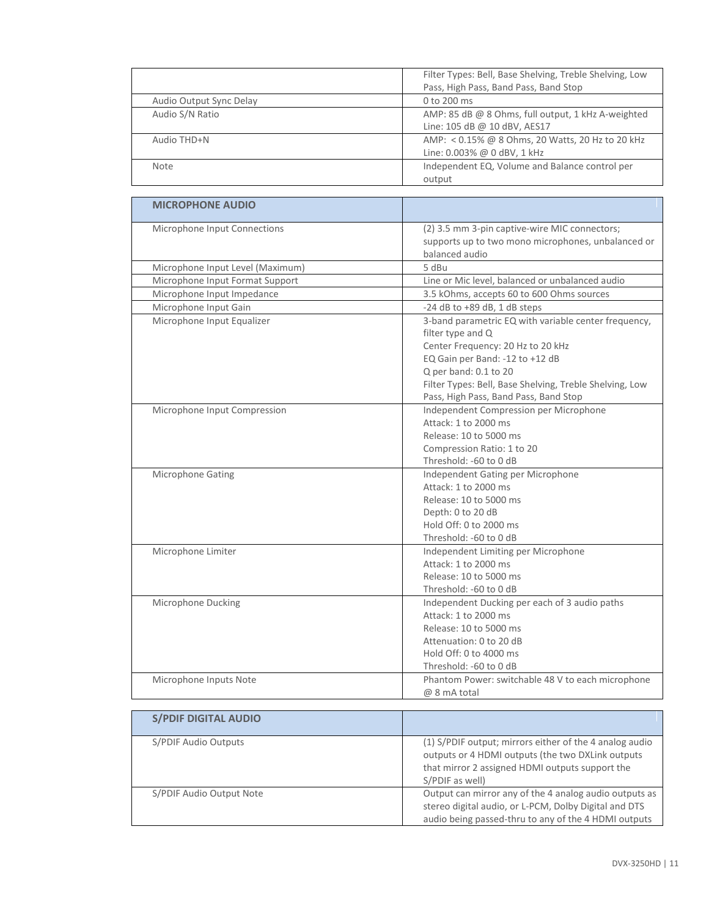|                         | Filter Types: Bell, Base Shelving, Treble Shelving, Low |
|-------------------------|---------------------------------------------------------|
|                         | Pass, High Pass, Band Pass, Band Stop                   |
| Audio Output Sync Delay | 0 to 200 ms                                             |
| Audio S/N Ratio         | AMP: 85 dB @ 8 Ohms, full output, 1 kHz A-weighted      |
|                         | Line: 105 dB @ 10 dBV, AES17                            |
| Audio THD+N             | AMP: < 0.15% @ 8 Ohms, 20 Watts, 20 Hz to 20 kHz        |
|                         | Line: 0.003% @ 0 dBV, 1 kHz                             |
| <b>Note</b>             | Independent EQ, Volume and Balance control per          |
|                         | output                                                  |

| <b>MICROPHONE AUDIO</b>          |                                                                                                                                                                                                                                       |
|----------------------------------|---------------------------------------------------------------------------------------------------------------------------------------------------------------------------------------------------------------------------------------|
| Microphone Input Connections     | (2) 3.5 mm 3-pin captive-wire MIC connectors;<br>supports up to two mono microphones, unbalanced or<br>balanced audio                                                                                                                 |
| Microphone Input Level (Maximum) | 5 dBu                                                                                                                                                                                                                                 |
| Microphone Input Format Support  | Line or Mic level, balanced or unbalanced audio                                                                                                                                                                                       |
| Microphone Input Impedance       | 3.5 kOhms, accepts 60 to 600 Ohms sources                                                                                                                                                                                             |
| Microphone Input Gain            | -24 dB to +89 dB, 1 dB steps                                                                                                                                                                                                          |
| Microphone Input Equalizer       | 3-band parametric EQ with variable center frequency,<br>filter type and Q<br>Center Frequency: 20 Hz to 20 kHz<br>EQ Gain per Band: -12 to +12 dB<br>Q per band: 0.1 to 20<br>Filter Types: Bell, Base Shelving, Treble Shelving, Low |
|                                  | Pass, High Pass, Band Pass, Band Stop                                                                                                                                                                                                 |
| Microphone Input Compression     | Independent Compression per Microphone<br>Attack: 1 to 2000 ms<br>Release: 10 to 5000 ms<br>Compression Ratio: 1 to 20<br>Threshold: -60 to 0 dB                                                                                      |
| Microphone Gating                | Independent Gating per Microphone<br>Attack: 1 to 2000 ms<br>Release: 10 to 5000 ms<br>Depth: 0 to 20 dB<br>Hold Off: 0 to 2000 ms<br>Threshold: -60 to 0 dB                                                                          |
| Microphone Limiter               | Independent Limiting per Microphone<br>Attack: 1 to 2000 ms<br>Release: 10 to 5000 ms<br>Threshold: -60 to 0 dB                                                                                                                       |
| Microphone Ducking               | Independent Ducking per each of 3 audio paths<br>Attack: 1 to 2000 ms<br>Release: 10 to 5000 ms<br>Attenuation: 0 to 20 dB<br>Hold Off: 0 to 4000 ms<br>Threshold: -60 to 0 dB                                                        |
| Microphone Inputs Note           | Phantom Power: switchable 48 V to each microphone<br>@ 8 mA total                                                                                                                                                                     |

| <b>S/PDIF DIGITAL AUDIO</b> |                                                                                                                                                                                    |
|-----------------------------|------------------------------------------------------------------------------------------------------------------------------------------------------------------------------------|
| S/PDIF Audio Outputs        | (1) S/PDIF output; mirrors either of the 4 analog audio<br>outputs or 4 HDMI outputs (the two DXLink outputs<br>that mirror 2 assigned HDMI outputs support the<br>S/PDIF as well) |
| S/PDIF Audio Output Note    | Output can mirror any of the 4 analog audio outputs as<br>stereo digital audio, or L-PCM, Dolby Digital and DTS<br>audio being passed-thru to any of the 4 HDMI outputs            |